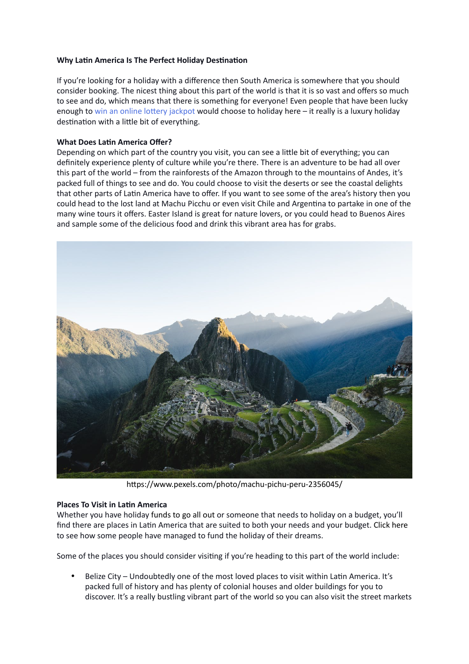## **Why Latin America Is The Perfect Holiday Destination**

If you're looking for a holiday with a difference then South America is somewhere that you should consider booking. The nicest thing about this part of the world is that it is so vast and offers so much to see and do, which means that there is something for everyone! Even people that have been lucky enough to win an online lottery jackpot would choose to holiday here - it really is a luxury holiday destination with a little bit of everything.

## **What Does Latin America Offer?**

Depending on which part of the country you visit, you can see a little bit of everything; you can definitely experience plenty of culture while you're there. There is an adventure to be had all over this part of the world – from the rainforests of the Amazon through to the mountains of Andes, it's packed full of things to see and do. You could choose to visit the deserts or see the coastal delights that other parts of Latin America have to offer. If you want to see some of the area's history then you could head to the lost land at Machu Picchu or even visit Chile and Argentina to partake in one of the many wine tours it offers. Easter Island is great for nature lovers, or you could head to Buenos Aires and sample some of the delicious food and drink this vibrant area has for grabs.



https://www.pexels.com/photo/machu-pichu-peru-2356045/

## **Places To Visit in Latin America**

Whether you have holiday funds to go all out or someone that needs to holiday on a budget, you'll find there are places in Latin America that are suited to both your needs and your budget. Click here to see how some people have managed to fund the holiday of their dreams.

Some of the places you should consider visiting if you're heading to this part of the world include:

• Belize City – Undoubtedly one of the most loved places to visit within Latin America. It's packed full of history and has plenty of colonial houses and older buildings for you to discover. It's a really bustling vibrant part of the world so you can also visit the street markets